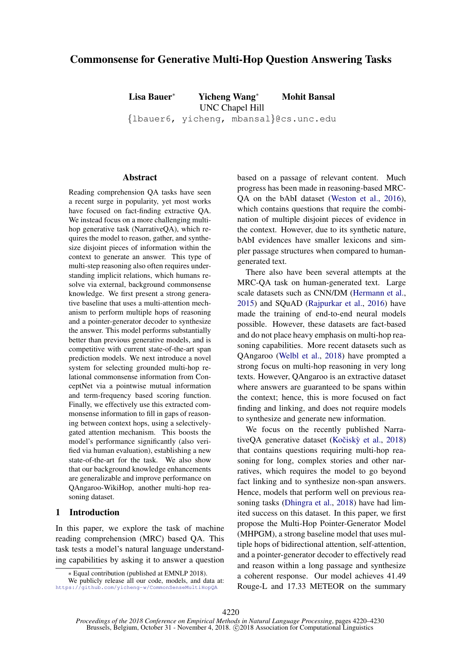# Commonsense for Generative Multi-Hop Question Answering Tasks

Lisa Bauer<sup>∗</sup> Yicheng Wang<sup>∗</sup> Mohit Bansal UNC Chapel Hill {lbauer6, yicheng, mbansal}@cs.unc.edu

#### Abstract

Reading comprehension QA tasks have seen a recent surge in popularity, yet most works have focused on fact-finding extractive QA. We instead focus on a more challenging multihop generative task (NarrativeQA), which requires the model to reason, gather, and synthesize disjoint pieces of information within the context to generate an answer. This type of multi-step reasoning also often requires understanding implicit relations, which humans resolve via external, background commonsense knowledge. We first present a strong generative baseline that uses a multi-attention mechanism to perform multiple hops of reasoning and a pointer-generator decoder to synthesize the answer. This model performs substantially better than previous generative models, and is competitive with current state-of-the-art span prediction models. We next introduce a novel system for selecting grounded multi-hop relational commonsense information from ConceptNet via a pointwise mutual information and term-frequency based scoring function. Finally, we effectively use this extracted commonsense information to fill in gaps of reasoning between context hops, using a selectivelygated attention mechanism. This boosts the model's performance significantly (also verified via human evaluation), establishing a new state-of-the-art for the task. We also show that our background knowledge enhancements are generalizable and improve performance on QAngaroo-WikiHop, another multi-hop reasoning dataset.

# 1 Introduction

In this paper, we explore the task of machine reading comprehension (MRC) based QA[.](#page-0-0) This task tests a model's natural language understanding capabilities by asking it to answer a question based on a passage of relevant content. Much progress has been made in reasoning-based MRC-QA on the bAbI dataset [\(Weston et al.,](#page-10-0) [2016\)](#page-10-0), which contains questions that require the combination of multiple disjoint pieces of evidence in the context. However, due to its synthetic nature, bAbI evidences have smaller lexicons and simpler passage structures when compared to humangenerated text.

There also have been several attempts at the MRC-QA task on human-generated text. Large scale datasets such as CNN/DM [\(Hermann et al.,](#page-9-0) [2015\)](#page-9-0) and SQuAD [\(Rajpurkar et al.,](#page-10-1) [2016\)](#page-10-1) have made the training of end-to-end neural models possible. However, these datasets are fact-based and do not place heavy emphasis on multi-hop reasoning capabilities. More recent datasets such as QAngaroo [\(Welbl et al.,](#page-10-2) [2018\)](#page-10-2) have prompted a strong focus on multi-hop reasoning in very long texts. However, QAngaroo is an extractive dataset where answers are guaranteed to be spans within the context; hence, this is more focused on fact finding and linking, and does not require models to synthesize and generate new information.

We focus on the recently published Narrative $QA$  generative dataset (Kočisk $\hat{y}$  et al., [2018\)](#page-9-1) that contains questions requiring multi-hop reasoning for long, complex stories and other narratives, which requires the model to go beyond fact linking and to synthesize non-span answers. Hence, models that perform well on previous reasoning tasks [\(Dhingra et al.,](#page-9-2) [2018\)](#page-9-2) have had limited success on this dataset. In this paper, we first propose the Multi-Hop Pointer-Generator Model (MHPGM), a strong baseline model that uses multiple hops of bidirectional attention, self-attention, and a pointer-generator decoder to effectively read and reason within a long passage and synthesize a coherent response. Our model achieves 41.49 Rouge-L and 17.33 METEOR on the summary

<span id="page-0-1"></span><span id="page-0-0"></span><sup>∗</sup> Equal contribution (published at EMNLP 2018).

We publicly release all our code, models, and data at: <https://github.com/yicheng-w/CommonSenseMultiHopQA>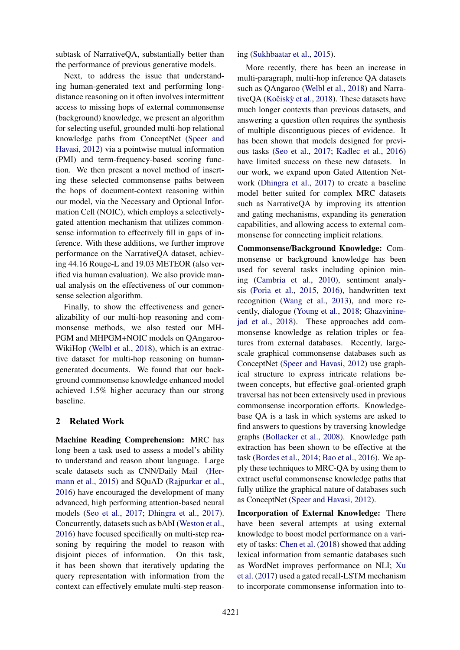subtask of NarrativeQA, substantially better than the performance of previous generative models.

Next, to address the issue that understanding human-generated text and performing longdistance reasoning on it often involves intermittent access to missing hops of external commonsense (background) knowledge, we present an algorithm for selecting useful, grounded multi-hop relational knowledge paths from ConceptNet [\(Speer and](#page-10-3) [Havasi,](#page-10-3) [2012\)](#page-10-3) via a pointwise mutual information (PMI) and term-frequency-based scoring function. We then present a novel method of inserting these selected commonsense paths between the hops of document-context reasoning within our model, via the Necessary and Optional Information Cell (NOIC), which employs a selectivelygated attention mechanism that utilizes commonsense information to effectively fill in gaps of inference. With these additions, we further improve performance on the NarrativeQA dataset, achieving 44.16 Rouge-L and 19.03 METEOR (also verified via human evaluation). We also provide manual analysis on the effectiveness of our commonsense selection algorithm.

Finally, to show the effectiveness and generalizability of our multi-hop reasoning and commonsense methods, we also tested our MH-PGM and MHPGM+NOIC models on QAngaroo-WikiHop [\(Welbl et al.,](#page-10-2) [2018\)](#page-10-2), which is an extractive dataset for multi-hop reasoning on humangenerated documents. We found that our background commonsense knowledge enhanced model achieved 1.5% higher accuracy than our strong baseline.

# 2 Related Work

Machine Reading Comprehension: MRC has long been a task used to assess a model's ability to understand and reason about language. Large scale datasets such as CNN/Daily Mail [\(Her](#page-9-0)[mann et al.,](#page-9-0) [2015\)](#page-9-0) and SQuAD [\(Rajpurkar et al.,](#page-10-1) [2016\)](#page-10-1) have encouraged the development of many advanced, high performing attention-based neural models [\(Seo et al.,](#page-10-4) [2017;](#page-10-4) [Dhingra et al.,](#page-9-3) [2017\)](#page-9-3). Concurrently, datasets such as bAbI [\(Weston et al.,](#page-10-0) [2016\)](#page-10-0) have focused specifically on multi-step reasoning by requiring the model to reason with disjoint pieces of information. On this task, it has been shown that iteratively updating the query representation with information from the context can effectively emulate multi-step reasoning [\(Sukhbaatar et al.,](#page-10-5) [2015\)](#page-10-5).

More recently, there has been an increase in multi-paragraph, multi-hop inference QA datasets such as QAngaroo [\(Welbl et al.,](#page-10-2) [2018\)](#page-10-2) and Narrative $OA$  (Kočiskỳ et al., [2018\)](#page-9-1). These datasets have much longer contexts than previous datasets, and answering a question often requires the synthesis of multiple discontiguous pieces of evidence. It has been shown that models designed for previous tasks [\(Seo et al.,](#page-10-4) [2017;](#page-10-4) [Kadlec et al.,](#page-9-4) [2016\)](#page-9-4) have limited success on these new datasets. In our work, we expand upon Gated Attention Network [\(Dhingra et al.,](#page-9-3) [2017\)](#page-9-3) to create a baseline model better suited for complex MRC datasets such as NarrativeQA by improving its attention and gating mechanisms, expanding its generation capabilities, and allowing access to external commonsense for connecting implicit relations.

Commonsense/Background Knowledge: Commonsense or background knowledge has been used for several tasks including opinion mining [\(Cambria et al.,](#page-9-5) [2010\)](#page-9-5), sentiment analysis [\(Poria et al.,](#page-10-6) [2015,](#page-10-6) [2016\)](#page-10-7), handwritten text recognition [\(Wang et al.,](#page-10-8) [2013\)](#page-10-8), and more recently, dialogue [\(Young et al.,](#page-10-9) [2018;](#page-10-9) [Ghazvinine](#page-9-6)[jad et al.,](#page-9-6) [2018\)](#page-9-6). These approaches add commonsense knowledge as relation triples or features from external databases. Recently, largescale graphical commonsense databases such as ConceptNet [\(Speer and Havasi,](#page-10-3) [2012\)](#page-10-3) use graphical structure to express intricate relations between concepts, but effective goal-oriented graph traversal has not been extensively used in previous commonsense incorporation efforts. Knowledgebase QA is a task in which systems are asked to find answers to questions by traversing knowledge graphs [\(Bollacker et al.,](#page-9-7) [2008\)](#page-9-7). Knowledge path extraction has been shown to be effective at the task [\(Bordes et al.,](#page-9-8) [2014;](#page-9-8) [Bao et al.,](#page-9-9) [2016\)](#page-9-9). We apply these techniques to MRC-QA by using them to extract useful commonsense knowledge paths that fully utilize the graphical nature of databases such as ConceptNet [\(Speer and Havasi,](#page-10-3) [2012\)](#page-10-3).

Incorporation of External Knowledge: There have been several attempts at using external knowledge to boost model performance on a variety of tasks: [Chen et al.](#page-9-10) [\(2018\)](#page-9-10) showed that adding lexical information from semantic databases such as WordNet improves performance on NLI; [Xu](#page-10-10) [et al.](#page-10-10) [\(2017\)](#page-10-10) used a gated recall-LSTM mechanism to incorporate commonsense information into to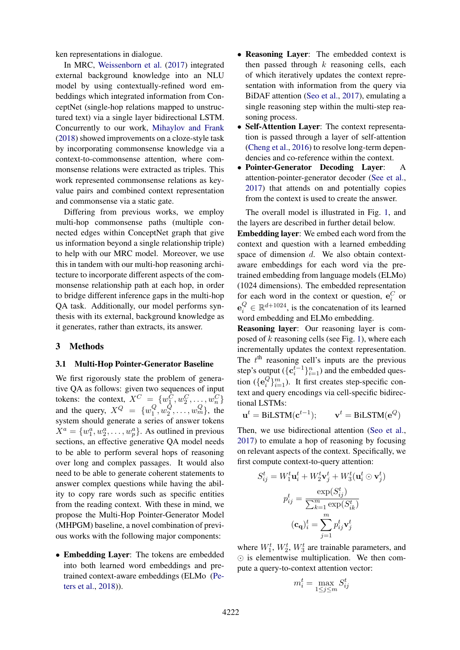ken representations in dialogue.

In MRC, [Weissenborn et al.](#page-10-11) [\(2017\)](#page-10-11) integrated external background knowledge into an NLU model by using contextually-refined word embeddings which integrated information from ConceptNet (single-hop relations mapped to unstructured text) via a single layer bidirectional LSTM. Concurrently to our work, [Mihaylov and Frank](#page-9-11) [\(2018\)](#page-9-11) showed improvements on a cloze-style task by incorporating commonsense knowledge via a context-to-commonsense attention, where commonsense relations were extracted as triples. This work represented commonsense relations as keyvalue pairs and combined context representation and commonsense via a static gate.

Differing from previous works, we employ multi-hop commonsense paths (multiple connected edges within ConceptNet graph that give us information beyond a single relationship triple) to help with our MRC model. Moreover, we use this in tandem with our multi-hop reasoning architecture to incorporate different aspects of the commonsense relationship path at each hop, in order to bridge different inference gaps in the multi-hop QA task. Additionally, our model performs synthesis with its external, background knowledge as it generates, rather than extracts, its answer.

#### 3 Methods

#### 3.1 Multi-Hop Pointer-Generator Baseline

We first rigorously state the problem of generative QA as follows: given two sequences of input tokens: the context,  $X^C = \{w_1^C, w_2^C, \dots, w_n^C\}$ and the query,  $X^Q = \{w_1^Q, w_2^Q, \dots\}$  $^{Q}_{1}, w^{Q}_{2}$  $\{Q_2, \ldots, w_m^Q\}$ , the system should generate a series of answer tokens  $X^a = \{w_1^a, w_2^a, \dots, w_p^a\}$ . As outlined in previous sections, an effective generative QA model needs to be able to perform several hops of reasoning over long and complex passages. It would also need to be able to generate coherent statements to answer complex questions while having the ability to copy rare words such as specific entities from the reading context. With these in mind, we propose the Multi-Hop Pointer-Generator Model (MHPGM) baseline, a novel combination of previous works with the following major components:

• Embedding Layer: The tokens are embedded into both learned word embeddings and pretrained context-aware embeddings (ELMo [\(Pe](#page-10-12)[ters et al.,](#page-10-12) [2018\)](#page-10-12)).

- Reasoning Layer: The embedded context is then passed through  $k$  reasoning cells, each of which iteratively updates the context representation with information from the query via BiDAF attention [\(Seo et al.,](#page-10-4) [2017\)](#page-10-4), emulating a single reasoning step within the multi-step reasoning process.
- Self-Attention Layer: The context representation is passed through a layer of self-attention [\(Cheng et al.,](#page-9-12) [2016\)](#page-9-12) to resolve long-term dependencies and co-reference within the context.
- Pointer-Generator Decoding Layer: A attention-pointer-generator decoder [\(See et al.,](#page-10-13) [2017\)](#page-10-13) that attends on and potentially copies from the context is used to create the answer.

The overall model is illustrated in Fig. [1,](#page-3-0) and the layers are described in further detail below.

Embedding layer: We embed each word from the context and question with a learned embedding space of dimension d. We also obtain contextaware embeddings for each word via the pretrained embedding from language models (ELMo) (1024 dimensions). The embedded representation for each word in the context or question,  $e_i^C$  or  $e_i^Q \in \mathbb{R}^{d+1024}$ , is the concatenation of its learned word embedding and ELMo embedding.

Reasoning layer: Our reasoning layer is composed of  $k$  reasoning cells (see Fig. [1\)](#page-3-0), where each incrementally updates the context representation. The  $t<sup>th</sup>$  reasoning cell's inputs are the previous step's output ( ${c_i^{t-1}}_{i=1}^n$ ) and the embedded question ( ${e_i^Q}$  ${}_{i}^{Q}$  ${}_{i}^{m}$  ${}_{i}^{m}$ ). It first creates step-specific context and query encodings via cell-specific bidirectional LSTMs:

 $\mathbf{u}^t = \text{BiLSTM}(\mathbf{c}^{t-1}$ );  $\mathbf{v}^t = \text{BiLSTM}(\mathbf{e}^Q)$ 

Then, we use bidirectional attention [\(Seo et al.,](#page-10-4) [2017\)](#page-10-4) to emulate a hop of reasoning by focusing on relevant aspects of the context. Specifically, we first compute context-to-query attention:

$$
S_{ij}^t = W_1^t \mathbf{u}_i^t + W_2^t \mathbf{v}_j^t + W_3^t (\mathbf{u}_i^t \odot \mathbf{v}_j^t)
$$

$$
p_{ij}^t = \frac{\exp(S_{ij}^t)}{\sum_{k=1}^m \exp(S_{ik}^t)}
$$

$$
(\mathbf{c_q})_i^t = \sum_{j=1}^m p_{ij}^t \mathbf{v}_j^t
$$

where  $W_1^t$ ,  $W_2^t$ ,  $W_3^t$  are trainable parameters, and  $\odot$  is elementwise multiplication. We then compute a query-to-context attention vector:

$$
m_i^t = \max_{1 \le j \le m} S_{ij}^t
$$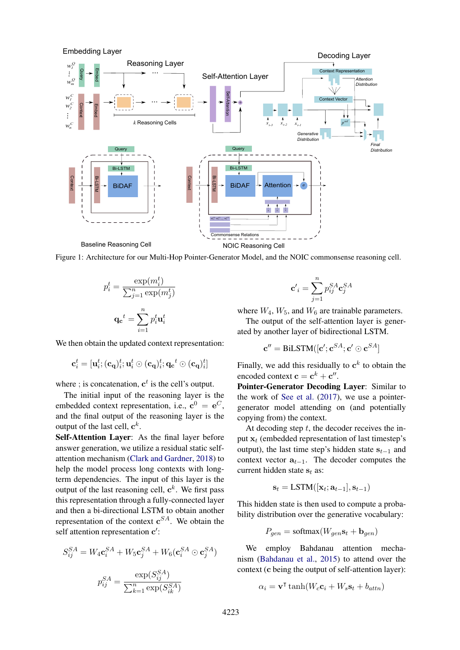

<span id="page-3-0"></span>Figure 1: Architecture for our Multi-Hop Pointer-Generator Model, and the NOIC commonsense reasoning cell.

$$
p_i^t = \frac{\exp(m_i^t)}{\sum_{j=1}^n \exp(m_j^t)}
$$

$$
\mathbf{q_c}^t = \sum_{i=1}^n p_i^t \mathbf{u}_i^t
$$

We then obtain the updated context representation:

$$
\mathbf{c}_i^t = [\mathbf{u}_i^t; (\mathbf{c}_\mathbf{q})_i^t; \mathbf{u}_i^t \odot (\mathbf{c}_\mathbf{q})_i^t; \mathbf{q_c}^t \odot (\mathbf{c}_\mathbf{q})_i^t]
$$

where ; is concatenation,  $c^t$  is the cell's output.

The initial input of the reasoning layer is the embedded context representation, i.e.,  $\mathbf{c}^0 = \mathbf{e}^C$ , and the final output of the reasoning layer is the output of the last cell,  $\mathbf{c}^k$ .

Self-Attention Layer: As the final layer before answer generation, we utilize a residual static selfattention mechanism [\(Clark and Gardner,](#page-9-13) [2018\)](#page-9-13) to help the model process long contexts with longterm dependencies. The input of this layer is the output of the last reasoning cell,  $\mathbf{c}^k$ . We first pass this representation through a fully-connected layer and then a bi-directional LSTM to obtain another representation of the context  $\mathbf{c}^{SA}$ . We obtain the self attention representation c':

$$
S_{ij}^{SA} = W_4 \mathbf{c}_i^{SA} + W_5 \mathbf{c}_j^{SA} + W_6 (\mathbf{c}_i^{SA} \odot \mathbf{c}_j^{SA})
$$

$$
p_{ij}^{SA} = \frac{\exp(S_{ij}^{SA})}{\sum_{k=1}^n \exp(S_{ik}^{SA})}
$$

$$
\mathbf{c'}_i = \sum_{j=1}^n p_{ij}^{SA} \mathbf{c}_j^{SA}
$$

where  $W_4$ ,  $W_5$ , and  $W_6$  are trainable parameters.

The output of the self-attention layer is generated by another layer of bidirectional LSTM.

$$
\mathbf{c}'' = \text{BiLSTM}([\mathbf{c}'; \mathbf{c}^{SA}; \mathbf{c}' \odot \mathbf{c}^{SA}]
$$

Finally, we add this residually to  $c<sup>k</sup>$  to obtain the encoded context  $\mathbf{c} = \mathbf{c}^k + \mathbf{c}''$ .

Pointer-Generator Decoding Layer: Similar to the work of [See et al.](#page-10-13) [\(2017\)](#page-10-13), we use a pointergenerator model attending on (and potentially copying from) the context.

At decoding step  $t$ , the decoder receives the input  $x_t$  (embedded representation of last timestep's output), the last time step's hidden state  $s_{t-1}$  and context vector  $a_{t-1}$ . The decoder computes the current hidden state  $s_t$  as:

$$
\mathbf{s}_t = \text{LSTM}([\mathbf{x}_t; \mathbf{a}_{t-1}], \mathbf{s}_{t-1})
$$

This hidden state is then used to compute a probability distribution over the generative vocabulary:

$$
P_{gen} = \text{softmax}(W_{gen} \mathbf{s}_t + \mathbf{b}_{gen})
$$

We employ Bahdanau attention mechanism [\(Bahdanau et al.,](#page-9-14) [2015\)](#page-9-14) to attend over the context (c being the output of self-attention layer):

$$
\alpha_i = \mathbf{v}^\mathsf{T} \tanh(W_c \mathbf{c}_i + W_s \mathbf{s}_t + b_{attn})
$$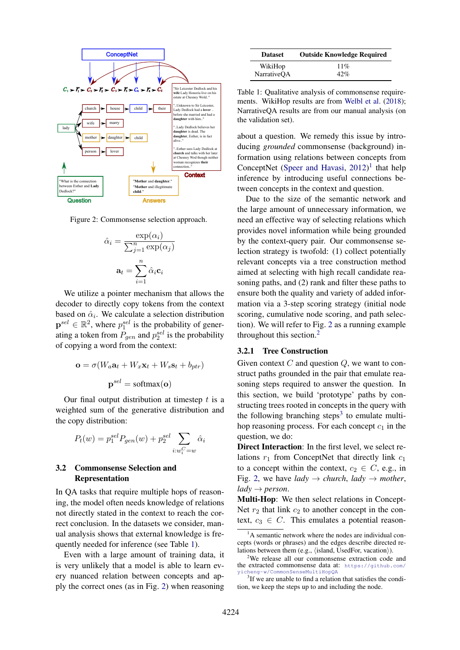

Figure 2: Commonsense selection approach.

<span id="page-4-1"></span>
$$
\hat{\alpha}_i = \frac{\exp(\alpha_i)}{\sum_{j=1}^n \exp(\alpha_j)}
$$

$$
\mathbf{a}_t = \sum_{i=1}^n \hat{\alpha}_i \mathbf{c}_i
$$

We utilize a pointer mechanism that allows the decoder to directly copy tokens from the context based on  $\hat{\alpha}_i$ . We calculate a selection distribution  $\mathbf{p}^{sel} \in \mathbb{R}^2$ , where  $p_1^{sel}$  is the probability of generating a token from  $P_{gen}$  and  $p_2^{sel}$  is the probability of copying a word from the context:

$$
\mathbf{o} = \sigma(W_a \mathbf{a}_t + W_x \mathbf{x}_t + W_s \mathbf{s}_t + b_{ptr})
$$

$$
\mathbf{p}^{sel} = \text{softmax}(\mathbf{o})
$$

Our final output distribution at timestep  $t$  is a weighted sum of the generative distribution and the copy distribution:

$$
P_t(w) = p_1^{sel} P_{gen}(w) + p_2^{sel} \sum_{i:w_i^{C} = w} \hat{\alpha}_i
$$

### 3.2 Commonsense Selection and Representation

In QA tasks that require multiple hops of reasoning, the model often needs knowledge of relations not directly stated in the context to reach the correct conclusion. In the datasets we consider, manual analysis shows that external knowledge is frequently needed for inference (see Table [1\)](#page-4-0).

Even with a large amount of training data, it is very unlikely that a model is able to learn every nuanced relation between concepts and apply the correct ones (as in Fig. [2\)](#page-4-1) when reasoning

| <b>Dataset</b> | <b>Outside Knowledge Required</b> |  |  |
|----------------|-----------------------------------|--|--|
| WikiHop        | 11%                               |  |  |
| NarrativeQA    | 42%                               |  |  |

<span id="page-4-0"></span>Table 1: Qualitative analysis of commonsense requirements. WikiHop results are from [Welbl et al.](#page-10-2) [\(2018\)](#page-10-2); NarrativeQA results are from our manual analysis (on the validation set).

about a question. We remedy this issue by introducing *grounded* commonsense (background) information using relations between concepts from ConceptNet [\(Speer and Havasi,](#page-10-3)  $2012$  $2012$  $2012$ )<sup>1</sup> that help inference by introducing useful connections between concepts in the context and question.

Due to the size of the semantic network and the large amount of unnecessary information, we need an effective way of selecting relations which provides novel information while being grounded by the context-query pair. Our commonsense selection strategy is twofold: (1) collect potentially relevant concepts via a tree construction method aimed at selecting with high recall candidate reasoning paths, and (2) rank and filter these paths to ensure both the quality and variety of added information via a 3-step scoring strategy (initial node scoring, cumulative node scoring, and path selection). We will refer to Fig. [2](#page-4-1) as a running example throughout this section.[2](#page-4-3)

#### 3.2.1 Tree Construction

Given context  $C$  and question  $Q$ , we want to construct paths grounded in the pair that emulate reasoning steps required to answer the question. In this section, we build 'prototype' paths by constructing trees rooted in concepts in the query with the following branching steps $3$  to emulate multihop reasoning process. For each concept  $c_1$  in the question, we do:

Direct Interaction: In the first level, we select relations  $r_1$  from ConceptNet that directly link  $c_1$ to a concept within the context,  $c_2 \in C$ , e.g., in Fig. [2,](#page-4-1) we have *lady*  $\rightarrow$  *church*, *lady*  $\rightarrow$  *mother*,  $l$ *ady*  $\rightarrow$  *person.* 

Multi-Hop: We then select relations in Concept-Net  $r_2$  that link  $c_2$  to another concept in the context,  $c_3 \in C$ . This emulates a potential reason-

<span id="page-4-2"></span> ${}^{1}$ A semantic network where the nodes are individual concepts (words or phrases) and the edges describe directed relations between them (e.g., (island, UsedFor, vacation)).

<span id="page-4-3"></span><sup>&</sup>lt;sup>2</sup>We release all our commonsense extraction code and the extracted commonsense data at: [https://github.com/](https://github.com/yicheng-w/CommonSenseMultiHopQA) [yicheng-w/CommonSenseMultiHopQA](https://github.com/yicheng-w/CommonSenseMultiHopQA)

<span id="page-4-4"></span><sup>&</sup>lt;sup>3</sup>If we are unable to find a relation that satisfies the condition, we keep the steps up to and including the node.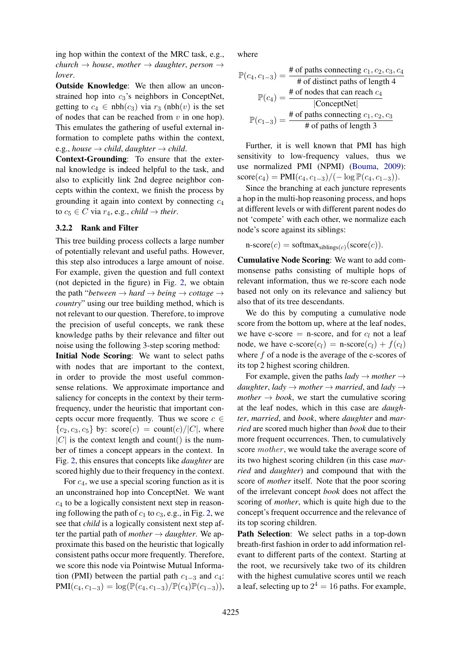ing hop within the context of the MRC task, e.g.,  $church \rightarrow house, mother \rightarrow daughter, person \rightarrow$ *lover*.

Outside Knowledge: We then allow an unconstrained hop into  $c_3$ 's neighbors in ConceptNet, getting to  $c_4 \in \text{nbh}(c_3)$  via  $r_3$  (nbh(v) is the set of nodes that can be reached from  $v$  in one hop). This emulates the gathering of useful external information to complete paths within the context, e.g., *house*  $\rightarrow$  *child*, *daughter*  $\rightarrow$  *child.* 

Context-Grounding: To ensure that the external knowledge is indeed helpful to the task, and also to explicitly link 2nd degree neighbor concepts within the context, we finish the process by grounding it again into context by connecting  $c_4$ to  $c_5 \in C$  via  $r_4$ , e.g., *child*  $\rightarrow$  *their*.

#### 3.2.2 Rank and Filter

This tree building process collects a large number of potentially relevant and useful paths. However, this step also introduces a large amount of noise. For example, given the question and full context (not depicted in the figure) in Fig. [2,](#page-4-1) we obtain the path "*between*  $\rightarrow$  *hard*  $\rightarrow$  *being*  $\rightarrow$  *cottage*  $\rightarrow$ *country*" using our tree building method, which is not relevant to our question. Therefore, to improve the precision of useful concepts, we rank these knowledge paths by their relevance and filter out noise using the following 3-step scoring method:

Initial Node Scoring: We want to select paths with nodes that are important to the context, in order to provide the most useful commonsense relations. We approximate importance and saliency for concepts in the context by their termfrequency, under the heuristic that important concepts occur more frequently. Thus we score  $c \in$  ${c_2, c_3, c_5}$  by: score $(c) = \text{count}(c)/|C|$ , where  $|C|$  is the context length and count() is the number of times a concept appears in the context. In Fig. [2,](#page-4-1) this ensures that concepts like *daughter* are scored highly due to their frequency in the context.

For  $c_4$ , we use a special scoring function as it is an unconstrained hop into ConceptNet. We want  $c_4$  to be a logically consistent next step in reasoning following the path of  $c_1$  to  $c_3$ , e.g., in Fig. [2,](#page-4-1) we see that *child* is a logically consistent next step after the partial path of *mother*  $\rightarrow$  *daughter*. We approximate this based on the heuristic that logically consistent paths occur more frequently. Therefore, we score this node via Pointwise Mutual Information (PMI) between the partial path  $c_{1-3}$  and  $c_4$ :  $PMI(c_4, c_{1-3}) = \log(\mathbb{P}(c_4, c_{1-3})/\mathbb{P}(c_4)\mathbb{P}(c_{1-3})),$ 

where

$$
\mathbb{P}(c_4, c_{1-3}) = \frac{\text{\# of paths connecting } c_1, c_2, c_3, c_4}{\text{\# of distinct paths of length 4}}
$$
\n
$$
\mathbb{P}(c_4) = \frac{\text{\# of nodes that can reach } c_4}{|\text{ConceptNet}|}
$$
\n
$$
\mathbb{P}(c_{1-3}) = \frac{\text{\# of paths connecting } c_1, c_2, c_3}{\text{\# of paths of length 3}}
$$

Further, it is well known that PMI has high sensitivity to low-frequency values, thus we use normalized PMI (NPMI) [\(Bouma,](#page-9-15) [2009\)](#page-9-15):  $score(c_4) = PMI(c_4, c_{1-3})/(-log \mathbb{P}(c_4, c_{1-3})).$ 

Since the branching at each juncture represents a hop in the multi-hop reasoning process, and hops at different levels or with different parent nodes do not 'compete' with each other, we normalize each node's score against its siblings:

$$
n\text{-score}(c) = \text{softmax}_{\text{sibling}(c)}(\text{score}(c)).
$$

Cumulative Node Scoring: We want to add commonsense paths consisting of multiple hops of relevant information, thus we re-score each node based not only on its relevance and saliency but also that of its tree descendants.

We do this by computing a cumulative node score from the bottom up, where at the leaf nodes, we have c-score  $=$  n-score, and for  $c_l$  not a leaf node, we have c-score $(c_l)$  = n-score $(c_l)$  +  $f(c_l)$ where  $f$  of a node is the average of the c-scores of its top 2 highest scoring children.

For example, given the paths  $\langle \textit{ladv} \rightarrow \textit{mother} \rightarrow \rangle$ *daughter, lady*  $\rightarrow$  *mother*  $\rightarrow$  *married, and lady*  $\rightarrow$ *mother*  $\rightarrow$  *book*, we start the cumulative scoring at the leaf nodes, which in this case are *daughter*, *married*, and *book*, where *daughter* and *married* are scored much higher than *book* due to their more frequent occurrences. Then, to cumulatively score *mother*, we would take the average score of its two highest scoring children (in this case *married* and *daughter*) and compound that with the score of *mother* itself. Note that the poor scoring of the irrelevant concept *book* does not affect the scoring of *mother*, which is quite high due to the concept's frequent occurrence and the relevance of its top scoring children.

Path Selection: We select paths in a top-down breath-first fashion in order to add information relevant to different parts of the context. Starting at the root, we recursively take two of its children with the highest cumulative scores until we reach a leaf, selecting up to  $2^4 = 16$  paths. For example,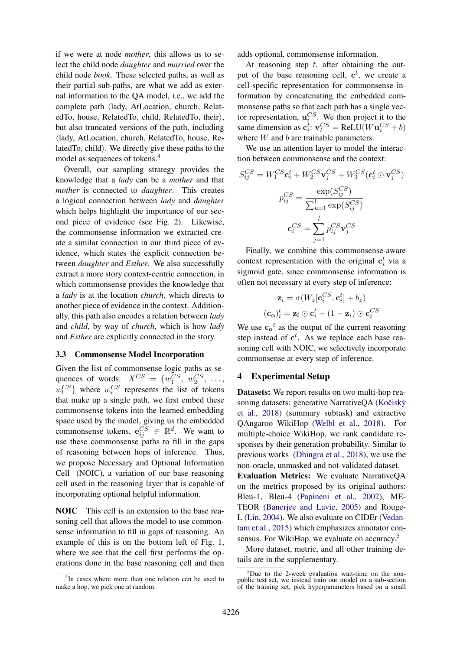if we were at node *mother*, this allows us to select the child node *daughter* and *married* over the child node *book*. These selected paths, as well as their partial sub-paths, are what we add as external information to the QA model, i.e., we add the complete path  $\langle$ lady, AtLocation, church, RelatedTo, house, RelatedTo, child, RelatedTo, their $\rangle$ , but also truncated versions of the path, including  $\langle$ lady, AtLocation, church, RelatedTo, house, Related To, child). We directly give these paths to the model as sequences of tokens.[4](#page-6-0)

Overall, our sampling strategy provides the knowledge that a *lady* can be a *mother* and that *mother* is connected to *daughter*. This creates a logical connection between *lady* and *daughter* which helps highlight the importance of our second piece of evidence (see Fig. [2\)](#page-4-1). Likewise, the commonsense information we extracted create a similar connection in our third piece of evidence, which states the explicit connection between *daughter* and *Esther*. We also successfully extract a more story context-centric connection, in which commonsense provides the knowledge that a *lady* is at the location *church*, which directs to another piece of evidence in the context. Additionally, this path also encodes a relation between *lady* and *child*, by way of *church*, which is how *lady* and *Esther* are explicitly connected in the story.

#### 3.3 Commonsense Model Incorporation

Given the list of commonsense logic paths as sequences of words:  $X^{CS} = \{w_1^{CS}, w_2^{CS}, \ldots, w_n^{CS}\}$  $w_l^{CS}$ } where  $w_i^{CS}$  represents the list of tokens that make up a single path, we first embed these commonsense tokens into the learned embedding space used by the model, giving us the embedded commonsense tokens,  $\mathbf{e}_{ij}^{CS} \in \mathbb{R}^d$ . We want to use these commonsense paths to fill in the gaps of reasoning between hops of inference. Thus, we propose Necessary and Optional Information Cell (NOIC), a variation of our base reasoning cell used in the reasoning layer that is capable of incorporating optional helpful information.

NOIC This cell is an extension to the base reasoning cell that allows the model to use commonsense information to fill in gaps of reasoning. An example of this is on the bottom left of Fig. [1,](#page-3-0) where we see that the cell first performs the operations done in the base reasoning cell and then

<span id="page-6-0"></span><sup>4</sup>In cases where more than one relation can be used to make a hop, we pick one at random.

adds optional, commonsense information.

At reasoning step  $t$ , after obtaining the output of the base reasoning cell,  $\mathbf{c}^t$ , we create a cell-specific representation for commonsense information by concatenating the embedded commonsense paths so that each path has a single vector representation,  $\mathbf{u}_i^{CS}$ . We then project it to the same dimension as  $\mathbf{c}_i^t$ :  $\mathbf{v}_i^{CS} = \text{ReLU}(W\mathbf{u}_i^{CS} + b)$ where  $W$  and  $b$  are trainable parameters.

We use an attention layer to model the interaction between commonsense and the context:

$$
S_{ij}^{CS} = W_1^{CS} \mathbf{c}_i^t + W_2^{CS} \mathbf{v}_j^{CS} + W_3^{CS} (\mathbf{c}_i^t \odot \mathbf{v}_j^{CS})
$$

$$
p_{ij}^{CS} = \frac{\exp(S_{ij}^{CS})}{\sum_{k=1}^l \exp(S_{ij}^{CS})}
$$

$$
\mathbf{c}_i^{CS} = \sum_{j=1}^l p_{ij}^{CS} \mathbf{v}_j^{CS}
$$

Finally, we combine this commonsense-aware context representation with the original  $c_i^t$  via a sigmoid gate, since commonsense information is often not necessary at every step of inference:

$$
\mathbf{z}_{i} = \sigma(W_{z}[\mathbf{c}_{i}^{CS}; \mathbf{c}_{i}^{t}] + b_{z})
$$

$$
(\mathbf{c}_{o})_{i}^{t} = \mathbf{z}_{i} \odot \mathbf{c}_{i}^{t} + (1 - \mathbf{z}_{i}) \odot \mathbf{c}_{i}^{CS}
$$

We use  $c_0^t$  as the output of the current reasoning step instead of  $c^t$ . As we replace each base reasoning cell with NOIC, we selectively incorporate commonsense at every step of inference.

#### 4 Experimental Setup

Datasets: We report results on two multi-hop reasoning datasets: generative NarrativeQA (Kočiskỳ [et al.,](#page-9-1) [2018\)](#page-9-1) (summary subtask) and extractive QAngaroo WikiHop [\(Welbl et al.,](#page-10-2) [2018\)](#page-10-2). For multiple-choice WikiHop, we rank candidate responses by their generation probability. Similar to previous works [\(Dhingra et al.,](#page-9-2) [2018\)](#page-9-2), we use the non-oracle, unmasked and not-validated dataset. Evaluation Metrics: We evaluate NarrativeQA on the metrics proposed by its original authors: Bleu-1, Bleu-4 [\(Papineni et al.,](#page-9-16) [2002\)](#page-9-16), ME-TEOR [\(Banerjee and Lavie,](#page-9-17) [2005\)](#page-9-17) and Rouge-L [\(Lin,](#page-9-18) [2004\)](#page-9-18). We also evaluate on CIDEr [\(Vedan](#page-10-14)[tam et al.,](#page-10-14) [2015\)](#page-10-14) which emphasizes annotator con-

sensus. For WikiHop, we evaluate on accuracy.<sup>[5](#page-6-1)</sup> More dataset, metric, and all other training details are in the supplementary.

<span id="page-6-1"></span> $5$ Due to the 2-week evaluation wait-time on the nonpublic test set, we instead train our model on a sub-section of the training set, pick hyperparameters based on a small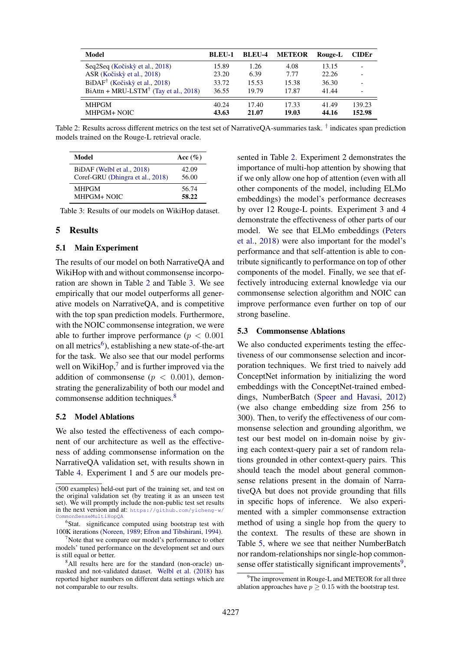| <b>Model</b>                                     | <b>BLEU-1</b>  | <b>BLEU-4</b>  | <b>METEOR</b>  | Rouge-L        | <b>CIDE</b> r                |
|--------------------------------------------------|----------------|----------------|----------------|----------------|------------------------------|
| Seq2Seq (Kočiskỳ et al., 2018)                   | 15.89          | 1.26           | 4.08           | 13.15          | $\overline{\phantom{a}}$     |
| ASR (Kočiský et al., 2018)                       | 23.20          | 6.39           | 7.77           | 22.26          | $\overline{\phantom{a}}$     |
| $BiDAF^{\dagger}$ (Kočiskỳ et al., 2018)         | 33.72          | 15.53          | 15.38          | 36.30          | $\qquad \qquad \blacksquare$ |
| $BiAttn + MRU-LSTM^{\dagger}$ (Tay et al., 2018) | 36.55          | 19.79          | 17.87          | 41.44          | $\overline{\phantom{0}}$     |
| <b>MHPGM</b><br>MHPGM+ NOIC                      | 40.24<br>43.63 | 17.40<br>21.07 | 17.33<br>19.03 | 41.49<br>44.16 | 139.23<br>152.98             |

<span id="page-7-0"></span>Table 2: Results across different metrics on the test set of NarrativeQA-summaries task. † indicates span prediction models trained on the Rouge-L retrieval oracle.

| Model                            | Acc $(\%)$ |
|----------------------------------|------------|
| BiDAF (Welbl et al., 2018)       | 42.09      |
| Coref-GRU (Dhingra et al., 2018) | 56.00      |
| <b>MHPGM</b>                     | 56.74      |
| MHPGM+ NOIC                      | 58.22      |

<span id="page-7-1"></span>Table 3: Results of our models on WikiHop dataset.

#### 5 Results

#### 5.1 Main Experiment

The results of our model on both NarrativeQA and WikiHop with and without commonsense incorporation are shown in Table [2](#page-7-0) and Table [3.](#page-7-1) We see empirically that our model outperforms all generative models on NarrativeQA, and is competitive with the top span prediction models. Furthermore, with the NOIC commonsense integration, we were able to further improve performance ( $p < 0.001$ ) on all metrics<sup>[6](#page-7-2)</sup>), establishing a new state-of-the-art for the task. We also see that our model performs well on WikiHop, $<sup>7</sup>$  $<sup>7</sup>$  $<sup>7</sup>$  and is further improved via the</sup> addition of commonsense ( $p < 0.001$ ), demonstrating the generalizability of both our model and commonsense addition techniques.[8](#page-7-4)

#### 5.2 Model Ablations

We also tested the effectiveness of each component of our architecture as well as the effectiveness of adding commonsense information on the NarrativeQA validation set, with results shown in Table [4.](#page-8-0) Experiment 1 and 5 are our models presented in Table [2.](#page-7-0) Experiment 2 demonstrates the importance of multi-hop attention by showing that if we only allow one hop of attention (even with all other components of the model, including ELMo embeddings) the model's performance decreases by over 12 Rouge-L points. Experiment 3 and 4 demonstrate the effectiveness of other parts of our model. We see that ELMo embeddings [\(Peters](#page-10-12) [et al.,](#page-10-12) [2018\)](#page-10-12) were also important for the model's performance and that self-attention is able to contribute significantly to performance on top of other components of the model. Finally, we see that effectively introducing external knowledge via our commonsense selection algorithm and NOIC can improve performance even further on top of our strong baseline.

#### 5.3 Commonsense Ablations

We also conducted experiments testing the effectiveness of our commonsense selection and incorporation techniques. We first tried to naively add ConceptNet information by initializing the word embeddings with the ConceptNet-trained embeddings, NumberBatch [\(Speer and Havasi,](#page-10-3) [2012\)](#page-10-3) (we also change embedding size from 256 to 300). Then, to verify the effectiveness of our commonsense selection and grounding algorithm, we test our best model on in-domain noise by giving each context-query pair a set of random relations grounded in other context-query pairs. This should teach the model about general commonsense relations present in the domain of NarrativeQA but does not provide grounding that fills in specific hops of inference. We also experimented with a simpler commonsense extraction method of using a single hop from the query to the context. The results of these are shown in Table [5,](#page-8-1) where we see that neither NumberBatch nor random-relationships nor single-hop common-sense offer statistically significant improvements<sup>[9](#page-7-5)</sup>,

<sup>(500</sup> examples) held-out part of the training set, and test on the original validation set (by treating it as an unseen test set). We will promptly include the non-public test set results in the next version and at: [https://github.com/yicheng-w/](https://github.com/yicheng-w/CommonSenseMultiHopQA) monSenseMultiHopQA

<span id="page-7-2"></span><sup>&</sup>lt;sup>6</sup>Stat. significance computed using bootstrap test with 100K iterations [\(Noreen,](#page-9-19) [1989;](#page-9-19) [Efron and Tibshirani,](#page-9-20) [1994\)](#page-9-20).

<span id="page-7-3"></span> $\gamma$ Note that we compare our model's performance to other models' tuned performance on the development set and ours is still equal or better.

<span id="page-7-4"></span><sup>&</sup>lt;sup>8</sup>All results here are for the standard (non-oracle) unmasked and not-validated dataset. [Welbl et al.](#page-10-2) [\(2018\)](#page-10-2) has reported higher numbers on different data settings which are not comparable to our results.

<span id="page-7-5"></span> $9^9$ The improvement in Rouge-L and METEOR for all three ablation approaches have  $p \ge 0.15$  with the bootstrap test.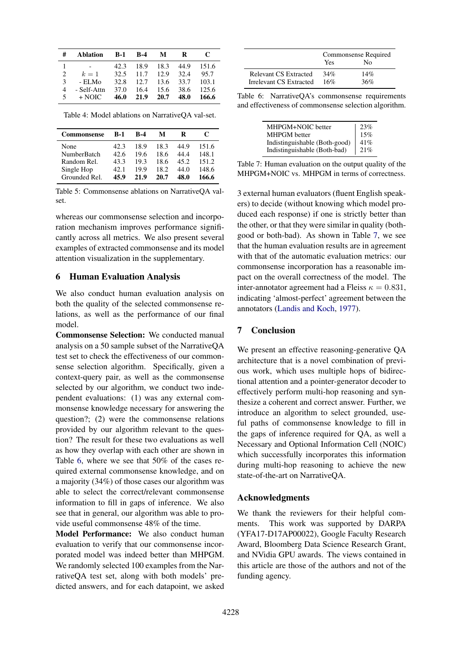| #                             | <b>Ablation</b> | <b>B-1</b> | <b>B-4</b> | M                   | R    | C     |
|-------------------------------|-----------------|------------|------------|---------------------|------|-------|
|                               |                 | 42.3       | 18.9       | 18.3                | 44.9 | 151.6 |
| $\mathfrak{D}_{\mathfrak{p}}$ | $k=1$           |            |            | 32.5 11.7 12.9 32.4 |      | 95.7  |
| 3                             | - ELMo          |            |            | 32.8 12.7 13.6 33.7 |      | 103.1 |
| 4                             | - Self-Attn     | 37.0       | - 16.4     | 15.6                | 38.6 | 125.6 |
| 5                             | $+$ NOIC $-$    | 46.0       | 21.9       | 20.7                | 48.0 | 166.6 |

<span id="page-8-0"></span>Table 4: Model ablations on NarrativeQA val-set.

| <b>Commonsense</b> | $B-1$ | <b>R-4</b> | м    | R    | C     |
|--------------------|-------|------------|------|------|-------|
| None               | 42.3  | 18.9       | 18.3 | 44.9 | 151.6 |
| NumberBatch        | 42.6  | 19.6       | 18.6 | 44.4 | 148.1 |
| Random Rel.        | 43.3  | 19.3       | 18.6 | 45.2 | 151.2 |
| Single Hop         | 42.1  | 19.9       | 18.2 | 44.O | 148.6 |
| Grounded Rel.      | 45.9  | 21.9       | 20.7 | 48.0 | 166.6 |

<span id="page-8-1"></span>Table 5: Commonsense ablations on NarrativeQA valset.

whereas our commonsense selection and incorporation mechanism improves performance significantly across all metrics. We also present several examples of extracted commonsense and its model attention visualization in the supplementary.

# 6 Human Evaluation Analysis

We also conduct human evaluation analysis on both the quality of the selected commonsense relations, as well as the performance of our final model.

Commonsense Selection: We conducted manual analysis on a 50 sample subset of the NarrativeQA test set to check the effectiveness of our commonsense selection algorithm. Specifically, given a context-query pair, as well as the commonsense selected by our algorithm, we conduct two independent evaluations: (1) was any external commonsense knowledge necessary for answering the question?; (2) were the commonsense relations provided by our algorithm relevant to the question? The result for these two evaluations as well as how they overlap with each other are shown in Table [6,](#page-8-2) where we see that 50% of the cases required external commonsense knowledge, and on a majority (34%) of those cases our algorithm was able to select the correct/relevant commonsense information to fill in gaps of inference. We also see that in general, our algorithm was able to provide useful commonsense 48% of the time.

Model Performance: We also conduct human evaluation to verify that our commonsense incorporated model was indeed better than MHPGM. We randomly selected 100 examples from the NarrativeQA test set, along with both models' predicted answers, and for each datapoint, we asked

|                              | Commonsense Required<br>Nο<br>Yes |     |  |
|------------------------------|-----------------------------------|-----|--|
| <b>Relevant CS Extracted</b> | 34%                               | 14% |  |
| Irrelevant CS Extracted      | 16%                               | 36% |  |

Table 6: NarrativeQA's commonsense requirements and effectiveness of commonsense selection algorithm.

<span id="page-8-2"></span>

| MHPGM+NOIC better             | 23% |
|-------------------------------|-----|
| <b>MHPGM</b> better           | 15% |
| Indistinguishable (Both-good) | 41% |
| Indistinguishable (Both-bad)  | 21% |

<span id="page-8-3"></span>Table 7: Human evaluation on the output quality of the MHPGM+NOIC vs. MHPGM in terms of correctness.

3 external human evaluators (fluent English speakers) to decide (without knowing which model produced each response) if one is strictly better than the other, or that they were similar in quality (bothgood or both-bad). As shown in Table [7,](#page-8-3) we see that the human evaluation results are in agreement with that of the automatic evaluation metrics: our commonsense incorporation has a reasonable impact on the overall correctness of the model. The inter-annotator agreement had a Fleiss  $\kappa = 0.831$ , indicating 'almost-perfect' agreement between the annotators [\(Landis and Koch,](#page-9-21) [1977\)](#page-9-21).

# 7 Conclusion

We present an effective reasoning-generative QA architecture that is a novel combination of previous work, which uses multiple hops of bidirectional attention and a pointer-generator decoder to effectively perform multi-hop reasoning and synthesize a coherent and correct answer. Further, we introduce an algorithm to select grounded, useful paths of commonsense knowledge to fill in the gaps of inference required for QA, as well a Necessary and Optional Information Cell (NOIC) which successfully incorporates this information during multi-hop reasoning to achieve the new state-of-the-art on NarrativeQA.

# Acknowledgments

We thank the reviewers for their helpful comments. This work was supported by DARPA (YFA17-D17AP00022), Google Faculty Research Award, Bloomberg Data Science Research Grant, and NVidia GPU awards. The views contained in this article are those of the authors and not of the funding agency.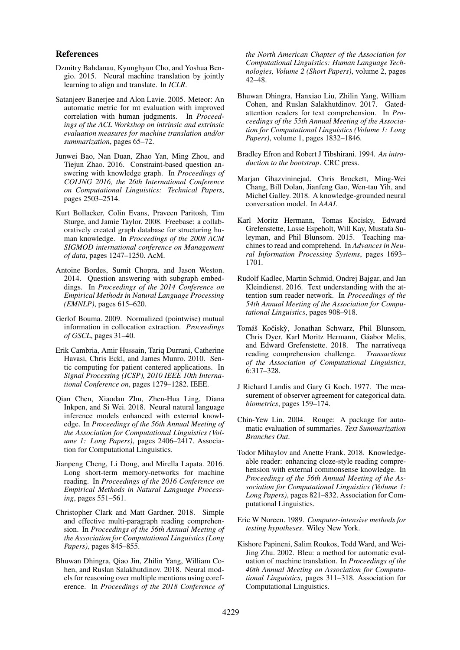#### References

- <span id="page-9-14"></span>Dzmitry Bahdanau, Kyunghyun Cho, and Yoshua Bengio. 2015. Neural machine translation by jointly learning to align and translate. In *ICLR*.
- <span id="page-9-17"></span>Satanjeev Banerjee and Alon Lavie. 2005. Meteor: An automatic metric for mt evaluation with improved correlation with human judgments. In *Proceedings of the ACL Workshop on intrinsic and extrinsic evaluation measures for machine translation and/or summarization*, pages 65–72.
- <span id="page-9-9"></span>Junwei Bao, Nan Duan, Zhao Yan, Ming Zhou, and Tiejun Zhao. 2016. Constraint-based question answering with knowledge graph. In *Proceedings of COLING 2016, the 26th International Conference on Computational Linguistics: Technical Papers*, pages 2503–2514.
- <span id="page-9-7"></span>Kurt Bollacker, Colin Evans, Praveen Paritosh, Tim Sturge, and Jamie Taylor. 2008. Freebase: a collaboratively created graph database for structuring human knowledge. In *Proceedings of the 2008 ACM SIGMOD international conference on Management of data*, pages 1247–1250. AcM.
- <span id="page-9-8"></span>Antoine Bordes, Sumit Chopra, and Jason Weston. 2014. Question answering with subgraph embeddings. In *Proceedings of the 2014 Conference on Empirical Methods in Natural Language Processing (EMNLP)*, pages 615–620.
- <span id="page-9-15"></span>Gerlof Bouma. 2009. Normalized (pointwise) mutual information in collocation extraction. *Proceedings of GSCL*, pages 31–40.
- <span id="page-9-5"></span>Erik Cambria, Amir Hussain, Tariq Durrani, Catherine Havasi, Chris Eckl, and James Munro. 2010. Sentic computing for patient centered applications. In *Signal Processing (ICSP), 2010 IEEE 10th International Conference on*, pages 1279–1282. IEEE.
- <span id="page-9-10"></span>Qian Chen, Xiaodan Zhu, Zhen-Hua Ling, Diana Inkpen, and Si Wei. 2018. Neural natural language inference models enhanced with external knowledge. In *Proceedings of the 56th Annual Meeting of the Association for Computational Linguistics (Volume 1: Long Papers)*, pages 2406–2417. Association for Computational Linguistics.
- <span id="page-9-12"></span>Jianpeng Cheng, Li Dong, and Mirella Lapata. 2016. Long short-term memory-networks for machine reading. In *Proceedings of the 2016 Conference on Empirical Methods in Natural Language Processing*, pages 551–561.
- <span id="page-9-13"></span>Christopher Clark and Matt Gardner. 2018. Simple and effective multi-paragraph reading comprehension. In *Proceedings of the 56th Annual Meeting of the Association for Computational Linguistics (Long Papers)*, pages 845–855.
- <span id="page-9-2"></span>Bhuwan Dhingra, Qiao Jin, Zhilin Yang, William Cohen, and Ruslan Salakhutdinov. 2018. Neural models for reasoning over multiple mentions using coreference. In *Proceedings of the 2018 Conference of*

*the North American Chapter of the Association for Computational Linguistics: Human Language Technologies, Volume 2 (Short Papers)*, volume 2, pages 42–48.

- <span id="page-9-3"></span>Bhuwan Dhingra, Hanxiao Liu, Zhilin Yang, William Cohen, and Ruslan Salakhutdinov. 2017. Gatedattention readers for text comprehension. In *Proceedings of the 55th Annual Meeting of the Association for Computational Linguistics (Volume 1: Long Papers)*, volume 1, pages 1832–1846.
- <span id="page-9-20"></span>Bradley Efron and Robert J Tibshirani. 1994. *An introduction to the bootstrap*. CRC press.
- <span id="page-9-6"></span>Marjan Ghazvininejad, Chris Brockett, Ming-Wei Chang, Bill Dolan, Jianfeng Gao, Wen-tau Yih, and Michel Galley. 2018. A knowledge-grounded neural conversation model. In *AAAI*.
- <span id="page-9-0"></span>Karl Moritz Hermann, Tomas Kocisky, Edward Grefenstette, Lasse Espeholt, Will Kay, Mustafa Suleyman, and Phil Blunsom. 2015. Teaching machines to read and comprehend. In *Advances in Neural Information Processing Systems*, pages 1693– 1701.
- <span id="page-9-4"></span>Rudolf Kadlec, Martin Schmid, Ondrej Bajgar, and Jan Kleindienst. 2016. Text understanding with the attention sum reader network. In *Proceedings of the 54th Annual Meeting of the Association for Computational Linguistics*, pages 908–918.
- <span id="page-9-1"></span>Tomáš Kočiskỳ, Jonathan Schwarz, Phil Blunsom, Chris Dyer, Karl Moritz Hermann, Gáabor Melis, and Edward Grefenstette. 2018. The narrativeqa reading comprehension challenge. *Transactions of the Association of Computational Linguistics*, 6:317–328.
- <span id="page-9-21"></span>J Richard Landis and Gary G Koch. 1977. The measurement of observer agreement for categorical data. *biometrics*, pages 159–174.
- <span id="page-9-18"></span>Chin-Yew Lin. 2004. Rouge: A package for automatic evaluation of summaries. *Text Summarization Branches Out*.
- <span id="page-9-11"></span>Todor Mihaylov and Anette Frank. 2018. Knowledgeable reader: enhancing cloze-style reading comprehension with external commonsense knowledge. In *Proceedings of the 56th Annual Meeting of the Association for Computational Linguistics (Volume 1: Long Papers)*, pages 821–832. Association for Computational Linguistics.
- <span id="page-9-19"></span>Eric W Noreen. 1989. *Computer-intensive methods for testing hypotheses*. Wiley New York.
- <span id="page-9-16"></span>Kishore Papineni, Salim Roukos, Todd Ward, and Wei-Jing Zhu. 2002. Bleu: a method for automatic evaluation of machine translation. In *Proceedings of the 40th Annual Meeting on Association for Computational Linguistics*, pages 311–318. Association for Computational Linguistics.